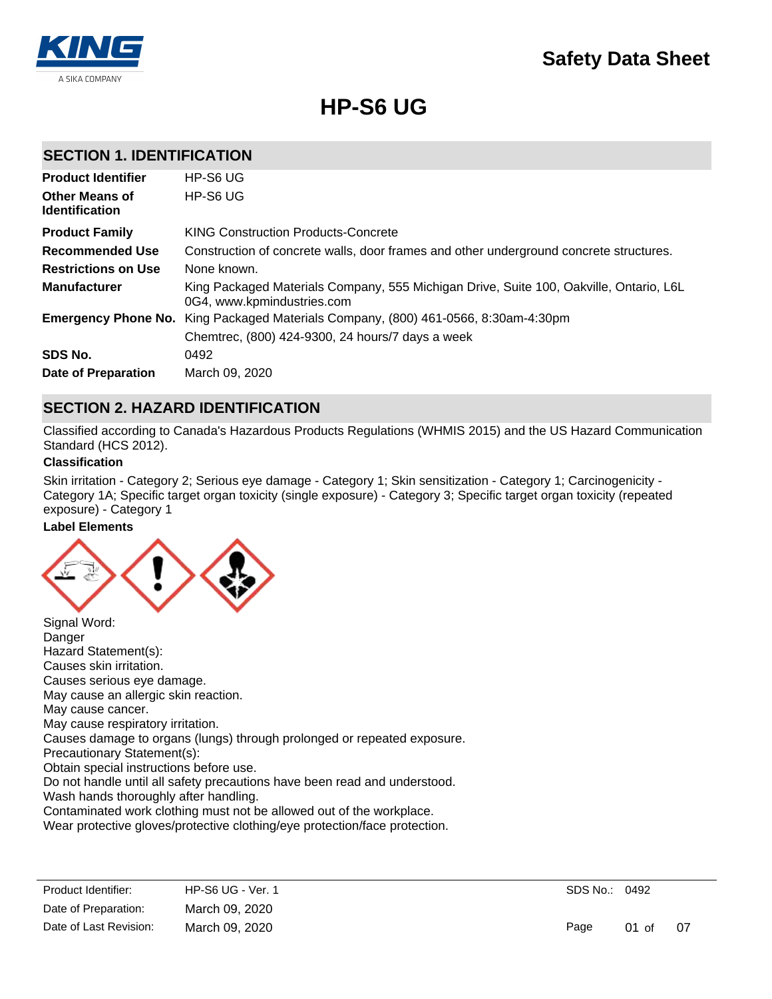

# **HP-S6 UG**

### **SECTION 1. IDENTIFICATION**

| <b>Product Identifier</b>                      | HP-S6 UG                                                                                                             |
|------------------------------------------------|----------------------------------------------------------------------------------------------------------------------|
| <b>Other Means of</b><br><b>Identification</b> | HP-S6 UG                                                                                                             |
| <b>Product Family</b>                          | <b>KING Construction Products-Concrete</b>                                                                           |
| <b>Recommended Use</b>                         | Construction of concrete walls, door frames and other underground concrete structures.                               |
| <b>Restrictions on Use</b>                     | None known.                                                                                                          |
| <b>Manufacturer</b>                            | King Packaged Materials Company, 555 Michigan Drive, Suite 100, Oakville, Ontario, L6L<br>0G4, www.kpmindustries.com |
| <b>Emergency Phone No.</b>                     | King Packaged Materials Company, (800) 461-0566, 8:30am-4:30pm                                                       |
|                                                | Chemtrec, (800) 424-9300, 24 hours/7 days a week                                                                     |
| SDS No.                                        | 0492                                                                                                                 |
| Date of Preparation                            | March 09, 2020                                                                                                       |

### **SECTION 2. HAZARD IDENTIFICATION**

Classified according to Canada's Hazardous Products Regulations (WHMIS 2015) and the US Hazard Communication Standard (HCS 2012).

### **Classification**

Skin irritation - Category 2; Serious eye damage - Category 1; Skin sensitization - Category 1; Carcinogenicity - Category 1A; Specific target organ toxicity (single exposure) - Category 3; Specific target organ toxicity (repeated exposure) - Category 1

#### **Label Elements**



Danger Hazard Statement(s): Causes skin irritation. Causes serious eye damage. May cause an allergic skin reaction. May cause cancer. May cause respiratory irritation. Causes damage to organs (lungs) through prolonged or repeated exposure. Precautionary Statement(s): Obtain special instructions before use. Do not handle until all safety precautions have been read and understood. Wash hands thoroughly after handling. Contaminated work clothing must not be allowed out of the workplace.

Wear protective gloves/protective clothing/eye protection/face protection.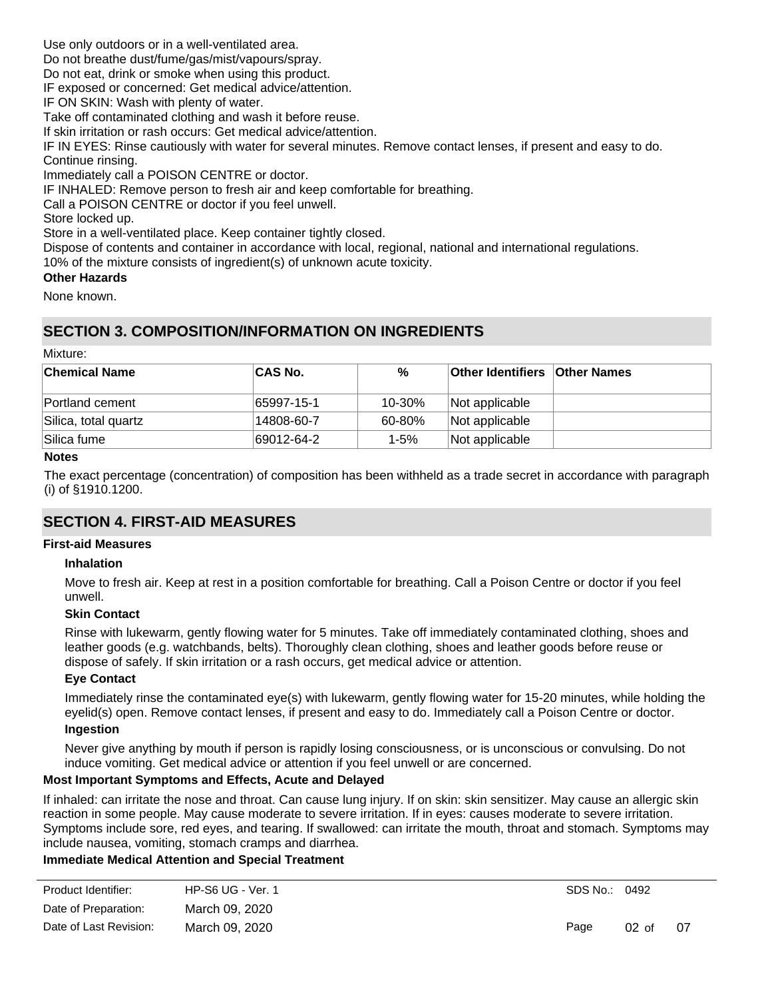Use only outdoors or in a well-ventilated area.

Do not breathe dust/fume/gas/mist/vapours/spray.

Do not eat, drink or smoke when using this product.

IF exposed or concerned: Get medical advice/attention.

IF ON SKIN: Wash with plenty of water.

Take off contaminated clothing and wash it before reuse.

If skin irritation or rash occurs: Get medical advice/attention.

IF IN EYES: Rinse cautiously with water for several minutes. Remove contact lenses, if present and easy to do. Continue rinsing.

Immediately call a POISON CENTRE or doctor.

IF INHALED: Remove person to fresh air and keep comfortable for breathing.

Call a POISON CENTRE or doctor if you feel unwell.

Store locked up.

Store in a well-ventilated place. Keep container tightly closed.

Dispose of contents and container in accordance with local, regional, national and international regulations.

10% of the mixture consists of ingredient(s) of unknown acute toxicity.

### **Other Hazards**

None known.

# **SECTION 3. COMPOSITION/INFORMATION ON INGREDIENTS**

### Mixture:

| <b>Chemical Name</b> | <b>CAS No.</b> | %        | <b>Other Identifiers Other Names</b> |  |
|----------------------|----------------|----------|--------------------------------------|--|
| Portland cement      | 65997-15-1     | 10-30%   | Not applicable                       |  |
| Silica, total quartz | 14808-60-7     | 60-80%   | Not applicable                       |  |
| Silica fume          | 69012-64-2     | $1 - 5%$ | Not applicable                       |  |

#### **Notes**

The exact percentage (concentration) of composition has been withheld as a trade secret in accordance with paragraph (i) of §1910.1200.

# **SECTION 4. FIRST-AID MEASURES**

#### **First-aid Measures**

#### **Inhalation**

Move to fresh air. Keep at rest in a position comfortable for breathing. Call a Poison Centre or doctor if you feel unwell.

### **Skin Contact**

Rinse with lukewarm, gently flowing water for 5 minutes. Take off immediately contaminated clothing, shoes and leather goods (e.g. watchbands, belts). Thoroughly clean clothing, shoes and leather goods before reuse or dispose of safely. If skin irritation or a rash occurs, get medical advice or attention.

### **Eye Contact**

Immediately rinse the contaminated eye(s) with lukewarm, gently flowing water for 15-20 minutes, while holding the eyelid(s) open. Remove contact lenses, if present and easy to do. Immediately call a Poison Centre or doctor. **Ingestion**

Never give anything by mouth if person is rapidly losing consciousness, or is unconscious or convulsing. Do not induce vomiting. Get medical advice or attention if you feel unwell or are concerned.

### **Most Important Symptoms and Effects, Acute and Delayed**

If inhaled: can irritate the nose and throat. Can cause lung injury. If on skin: skin sensitizer. May cause an allergic skin reaction in some people. May cause moderate to severe irritation. If in eyes: causes moderate to severe irritation. Symptoms include sore, red eyes, and tearing. If swallowed: can irritate the mouth, throat and stomach. Symptoms may include nausea, vomiting, stomach cramps and diarrhea.

### **Immediate Medical Attention and Special Treatment**

| <b>HP-S6 UG - Ver. 1</b> |      |                 |               |
|--------------------------|------|-----------------|---------------|
| March 09, 2020           |      |                 |               |
| March 09, 2020           | Page | $02 \text{ of}$ | 07            |
|                          |      |                 | SDS No.: 0492 |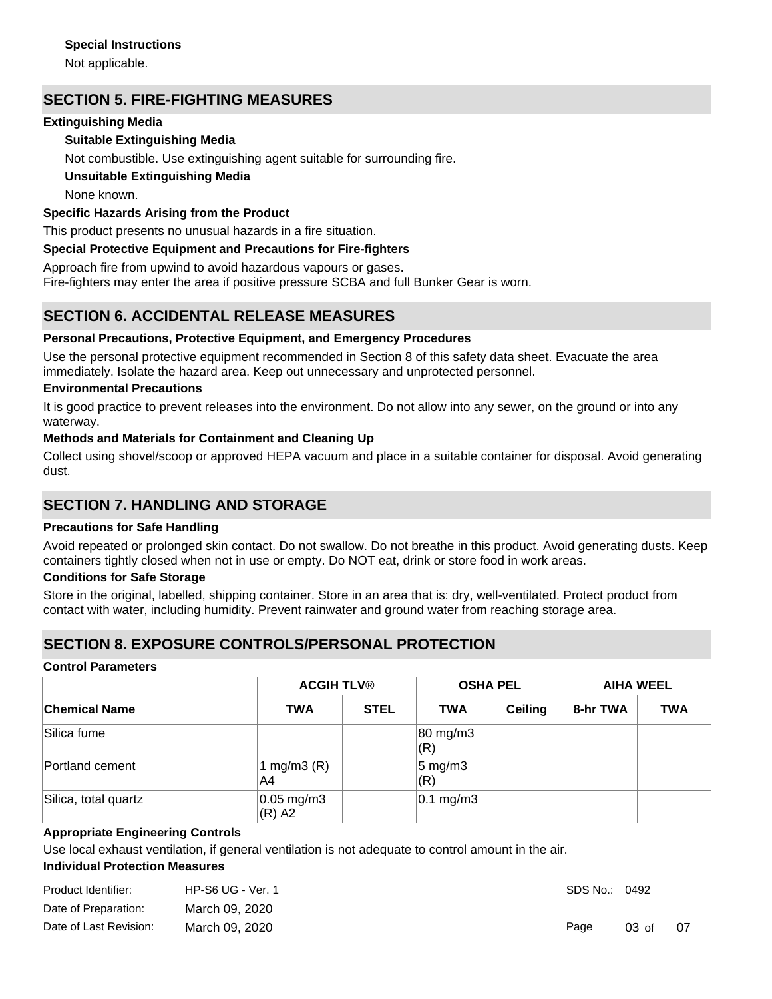Not applicable.

# **SECTION 5. FIRE-FIGHTING MEASURES**

### **Extinguishing Media**

### **Suitable Extinguishing Media**

Not combustible. Use extinguishing agent suitable for surrounding fire.

### **Unsuitable Extinguishing Media**

None known.

### **Specific Hazards Arising from the Product**

This product presents no unusual hazards in a fire situation.

### **Special Protective Equipment and Precautions for Fire-fighters**

Approach fire from upwind to avoid hazardous vapours or gases.

Fire-fighters may enter the area if positive pressure SCBA and full Bunker Gear is worn.

# **SECTION 6. ACCIDENTAL RELEASE MEASURES**

### **Personal Precautions, Protective Equipment, and Emergency Procedures**

Use the personal protective equipment recommended in Section 8 of this safety data sheet. Evacuate the area immediately. Isolate the hazard area. Keep out unnecessary and unprotected personnel.

### **Environmental Precautions**

It is good practice to prevent releases into the environment. Do not allow into any sewer, on the ground or into any waterway.

### **Methods and Materials for Containment and Cleaning Up**

Collect using shovel/scoop or approved HEPA vacuum and place in a suitable container for disposal. Avoid generating dust.

# **SECTION 7. HANDLING AND STORAGE**

### **Precautions for Safe Handling**

Avoid repeated or prolonged skin contact. Do not swallow. Do not breathe in this product. Avoid generating dusts. Keep containers tightly closed when not in use or empty. Do NOT eat, drink or store food in work areas.

### **Conditions for Safe Storage**

Store in the original, labelled, shipping container. Store in an area that is: dry, well-ventilated. Protect product from contact with water, including humidity. Prevent rainwater and ground water from reaching storage area.

# **SECTION 8. EXPOSURE CONTROLS/PERSONAL PROTECTION**

#### **Control Parameters**

|                      | <b>ACGIH TLV®</b>           |             | <b>OSHA PEL</b>           |                | <b>AIHA WEEL</b> |            |
|----------------------|-----------------------------|-------------|---------------------------|----------------|------------------|------------|
| <b>Chemical Name</b> | <b>TWA</b>                  | <b>STEL</b> | <b>TWA</b>                | <b>Ceiling</b> | 8-hr TWA         | <b>TWA</b> |
| Silica fume          |                             |             | 80 mg/m3<br>(R)           |                |                  |            |
| Portland cement      | 1 mg/m $3(R)$<br>A4         |             | $5 \text{ mg/m}$ 3<br>(R) |                |                  |            |
| Silica, total quartz | $0.05$ mg/m $3$<br>$(R)$ A2 |             | $0.1 \text{ mg/m}$ 3      |                |                  |            |

### **Appropriate Engineering Controls**

Use local exhaust ventilation, if general ventilation is not adequate to control amount in the air.

### **Individual Protection Measures**

| Product Identifier:    | $HP-S6 UG - Ver. 1$ |
|------------------------|---------------------|
| Date of Preparation:   | March 09, 2020      |
| Date of Last Revision: | March 09, 2020      |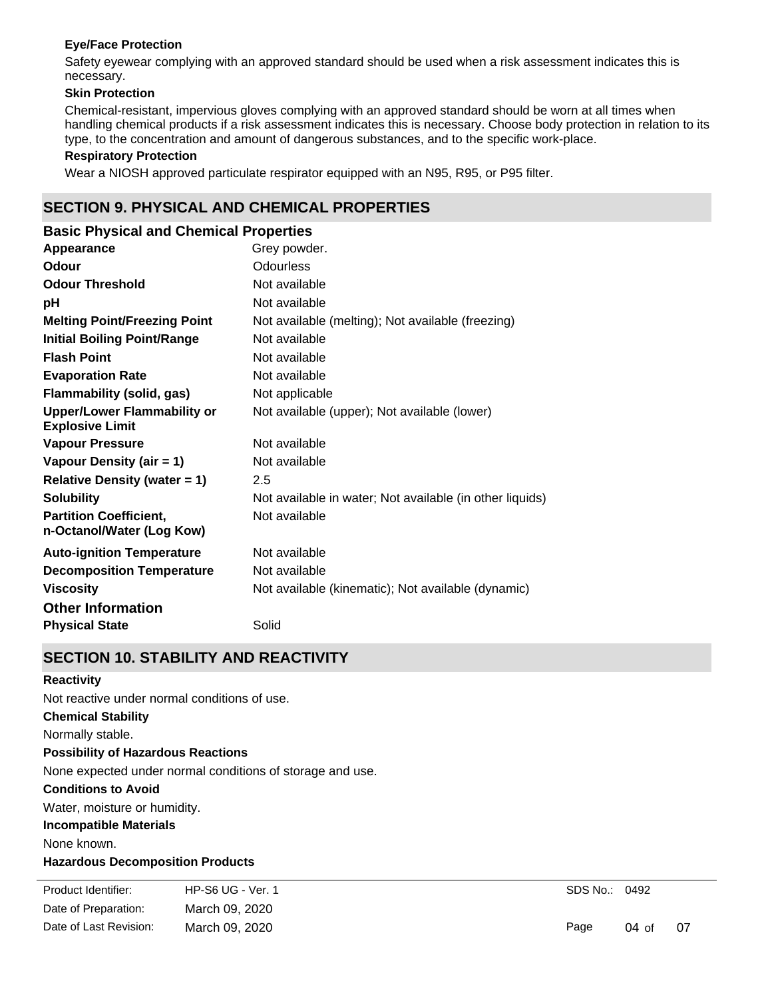### **Eye/Face Protection**

Safety eyewear complying with an approved standard should be used when a risk assessment indicates this is necessary.

### **Skin Protection**

Chemical-resistant, impervious gloves complying with an approved standard should be worn at all times when handling chemical products if a risk assessment indicates this is necessary. Choose body protection in relation to its type, to the concentration and amount of dangerous substances, and to the specific work-place.

#### **Respiratory Protection**

Wear a NIOSH approved particulate respirator equipped with an N95, R95, or P95 filter.

# **SECTION 9. PHYSICAL AND CHEMICAL PROPERTIES**

| <b>Basic Physical and Chemical Properties</b>                |                                                          |
|--------------------------------------------------------------|----------------------------------------------------------|
| Appearance                                                   | Grey powder.                                             |
| <b>Odour</b>                                                 | Odourless                                                |
| <b>Odour Threshold</b>                                       | Not available                                            |
| рH                                                           | Not available                                            |
| <b>Melting Point/Freezing Point</b>                          | Not available (melting); Not available (freezing)        |
| <b>Initial Boiling Point/Range</b>                           | Not available                                            |
| <b>Flash Point</b>                                           | Not available                                            |
| <b>Evaporation Rate</b>                                      | Not available                                            |
| <b>Flammability (solid, gas)</b>                             | Not applicable                                           |
| <b>Upper/Lower Flammability or</b><br><b>Explosive Limit</b> | Not available (upper); Not available (lower)             |
| <b>Vapour Pressure</b>                                       | Not available                                            |
| Vapour Density (air = 1)                                     | Not available                                            |
| <b>Relative Density (water = 1)</b>                          | 2.5                                                      |
| <b>Solubility</b>                                            | Not available in water; Not available (in other liquids) |
| <b>Partition Coefficient,</b><br>n-Octanol/Water (Log Kow)   | Not available                                            |
| <b>Auto-ignition Temperature</b>                             | Not available                                            |
| <b>Decomposition Temperature</b>                             | Not available                                            |
| <b>Viscosity</b>                                             | Not available (kinematic); Not available (dynamic)       |
| <b>Other Information</b>                                     |                                                          |
| <b>Physical State</b>                                        | Solid                                                    |

### **SECTION 10. STABILITY AND REACTIVITY**

#### **Reactivity**

**Chemical Stability** Normally stable. **Conditions to Avoid** Water, moisture or humidity. **Incompatible Materials** None known. **Hazardous Decomposition Products Possibility of Hazardous Reactions** None expected under normal conditions of storage and use. Not reactive under normal conditions of use.

Under normal conditions of storage and use, hazardous decomposition products should not be produced. Date of Preparation: March 09, 2020 Product Identifier: HP-S6 UG - Ver. 1 Date of Last Revision: March 09, 2020

SDS No.: 0492

Page 04 of 07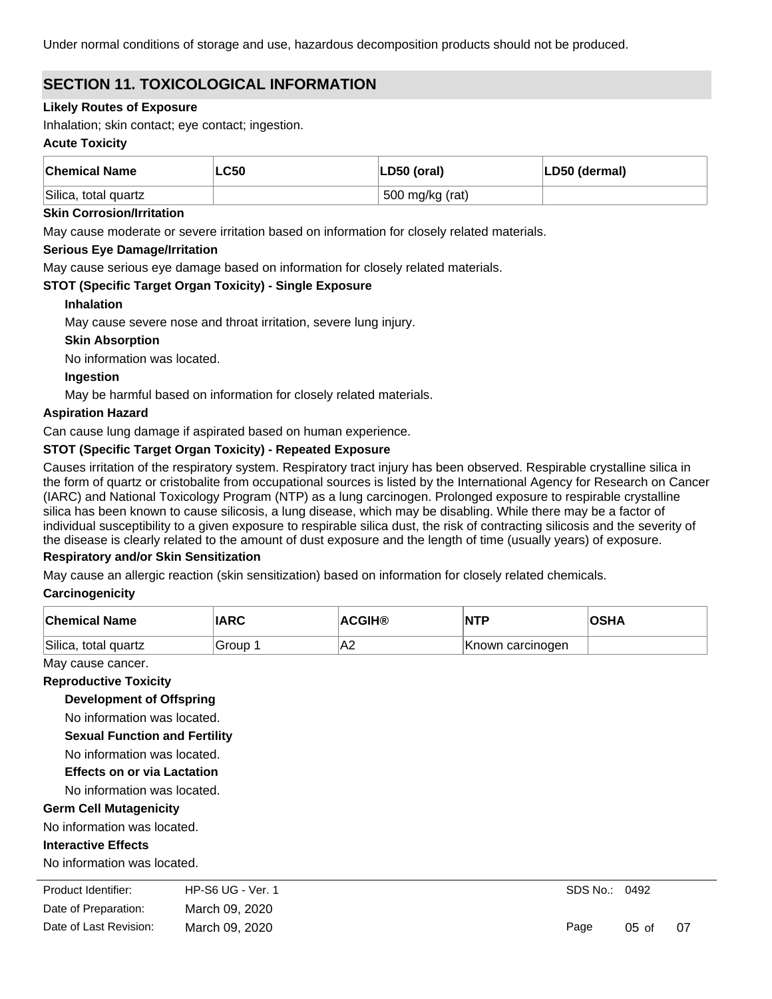Under normal conditions of storage and use, hazardous decomposition products should not be produced.

# **SECTION 11. TOXICOLOGICAL INFORMATION**

### **Likely Routes of Exposure**

Inhalation; skin contact; eye contact; ingestion.

### **Acute Toxicity**

| <b>Chemical Name</b> | <b>LC50</b> | $ LD50$ (oral)  | LD50 (dermal) |
|----------------------|-------------|-----------------|---------------|
| Silica, total quartz |             | 500 mg/kg (rat) |               |

#### **Skin Corrosion/Irritation**

May cause moderate or severe irritation based on information for closely related materials.

### **Serious Eye Damage/Irritation**

May cause serious eye damage based on information for closely related materials.

### **STOT (Specific Target Organ Toxicity) - Single Exposure**

### **Inhalation**

May cause severe nose and throat irritation, severe lung injury.

### **Skin Absorption**

No information was located.

### **Ingestion**

May be harmful based on information for closely related materials.

### **Aspiration Hazard**

Can cause lung damage if aspirated based on human experience.

### **STOT (Specific Target Organ Toxicity) - Repeated Exposure**

Causes irritation of the respiratory system. Respiratory tract injury has been observed. Respirable crystalline silica in the form of quartz or cristobalite from occupational sources is listed by the International Agency for Research on Cancer (IARC) and National Toxicology Program (NTP) as a lung carcinogen. Prolonged exposure to respirable crystalline silica has been known to cause silicosis, a lung disease, which may be disabling. While there may be a factor of individual susceptibility to a given exposure to respirable silica dust, the risk of contracting silicosis and the severity of the disease is clearly related to the amount of dust exposure and the length of time (usually years) of exposure.

### **Respiratory and/or Skin Sensitization**

May cause an allergic reaction (skin sensitization) based on information for closely related chemicals.

### **Carcinogenicity**

| <b>Chemical Name</b> | <b>IARC</b> | <b>ACGIH®</b> | INTP             | <b>OSHA</b> |
|----------------------|-------------|---------------|------------------|-------------|
| Silica, total quartz | Group       | A2            | Known carcinogen |             |

### May cause cancer.

#### **Reproductive Toxicity**

**Development of Offspring**

No information was located.

**Sexual Function and Fertility**

No information was located.

### **Effects on or via Lactation**

No information was located.

### **Germ Cell Mutagenicity**

No information was located.

### **Interactive Effects**

No information was located.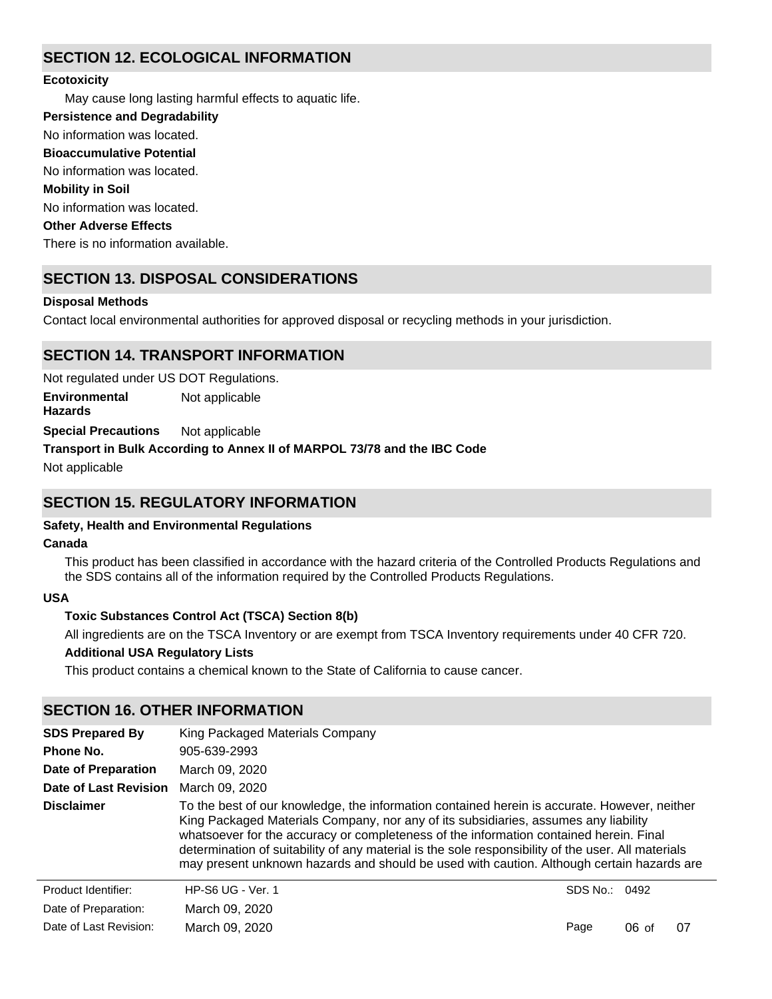# **SECTION 12. ECOLOGICAL INFORMATION**

### **Ecotoxicity**

May cause long lasting harmful effects to aquatic life.

**Persistence and Degradability**

No information was located.

**Bioaccumulative Potential**

No information was located.

### **Mobility in Soil**

No information was located.

### **Other Adverse Effects**

There is no information available.

# **SECTION 13. DISPOSAL CONSIDERATIONS**

### **Disposal Methods**

Contact local environmental authorities for approved disposal or recycling methods in your jurisdiction.

### **SECTION 14. TRANSPORT INFORMATION**

Not regulated under US DOT Regulations.

**Environmental Hazards** Not applicable

**Special Precautions** Not applicable

### **Transport in Bulk According to Annex II of MARPOL 73/78 and the IBC Code**

Not applicable

# **SECTION 15. REGULATORY INFORMATION**

### **Safety, Health and Environmental Regulations**

### **Canada**

This product has been classified in accordance with the hazard criteria of the Controlled Products Regulations and the SDS contains all of the information required by the Controlled Products Regulations.

### **USA**

### **Toxic Substances Control Act (TSCA) Section 8(b)**

All ingredients are on the TSCA Inventory or are exempt from TSCA Inventory requirements under 40 CFR 720.

### **Additional USA Regulatory Lists**

This product contains a chemical known to the State of California to cause cancer.

### **SECTION 16. OTHER INFORMATION**

| <b>SDS Prepared By</b>     | King Packaged Materials Company                                                                                                                                                                                                                                                                                                                                                                                                                                                  |               |         |    |
|----------------------------|----------------------------------------------------------------------------------------------------------------------------------------------------------------------------------------------------------------------------------------------------------------------------------------------------------------------------------------------------------------------------------------------------------------------------------------------------------------------------------|---------------|---------|----|
| Phone No.                  | 905-639-2993                                                                                                                                                                                                                                                                                                                                                                                                                                                                     |               |         |    |
| <b>Date of Preparation</b> | March 09, 2020                                                                                                                                                                                                                                                                                                                                                                                                                                                                   |               |         |    |
| Date of Last Revision      | March 09, 2020                                                                                                                                                                                                                                                                                                                                                                                                                                                                   |               |         |    |
| <b>Disclaimer</b>          | To the best of our knowledge, the information contained herein is accurate. However, neither<br>King Packaged Materials Company, nor any of its subsidiaries, assumes any liability<br>whatsoever for the accuracy or completeness of the information contained herein. Final<br>determination of suitability of any material is the sole responsibility of the user. All materials<br>may present unknown hazards and should be used with caution. Although certain hazards are |               |         |    |
| Product Identifier:        | <b>HP-S6 UG - Ver. 1</b>                                                                                                                                                                                                                                                                                                                                                                                                                                                         | SDS No.: 0492 |         |    |
| Date of Preparation:       | March 09, 2020                                                                                                                                                                                                                                                                                                                                                                                                                                                                   |               |         |    |
| Date of Last Revision:     | March 09, 2020                                                                                                                                                                                                                                                                                                                                                                                                                                                                   | Page          | $06$ of | 07 |